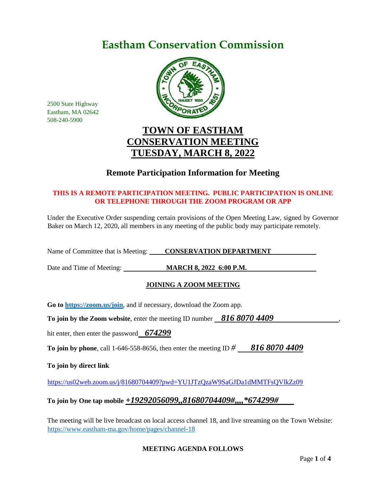# **Eastham Conservation Commission**



2500 State Highway Eastham, MA 02642 508-240-5900

# **TOWN OF EASTHAM CONSERVATION MEETING TUESDAY, MARCH 8, 2022**

# **Remote Participation Information for Meeting**

## **THIS IS A REMOTE PARTICIPATION MEETING. PUBLIC PARTICIPATION IS ONLINE OR TELEPHONE THROUGH THE ZOOM PROGRAM OR APP**

Under the Executive Order suspending certain provisions of the Open Meeting Law, signed by Governor Baker on March 12, 2020, all members in any meeting of the public body may participate remotely.

Name of Committee that is Meeting: **CONSERVATION DEPARTMENT** 

Date and Time of Meeting: **MARCH 8, 2022 6:00 P.M.** 

## **JOINING A ZOOM MEETING**

**Go to<https://zoom.us/join>**, and if necessary, download the Zoom app.

**To join by the Zoom website, enter the meeting ID number 816 8070 4409** 

hit enter, then enter the password *674299*

**To join by phone**, call 1-646-558-8656, then enter the meeting ID *# 816 8070 4409*

**To join by direct link**

<https://us02web.zoom.us/j/81680704409?pwd=YU1JTzQzaW9SaGJDa1dMMTFsQVlkZz09>

# **To join by One tap mobile** *+19292056099,,81680704409#,,,,\*674299#*

The meeting will be live broadcast on local access channel 18, and live streaming on the Town Website: <https://www.eastham-ma.gov/home/pages/channel-18>

## **MEETING AGENDA FOLLOWS**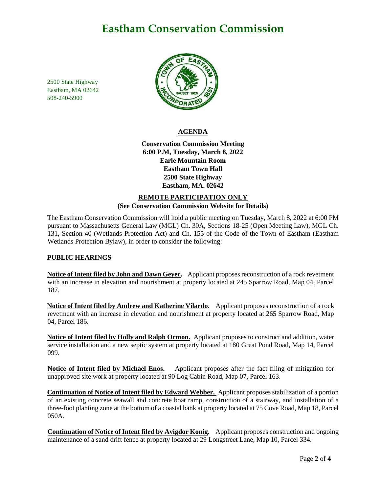# **Eastham Conservation Commission**

2500 State Highway Eastham, MA 02642 508-240-5900



### **AGENDA**

**Conservation Commission Meeting 6:00 P.M, Tuesday, March 8, 2022 Earle Mountain Room Eastham Town Hall 2500 State Highway Eastham, MA. 02642**

## **REMOTE PARTICIPATION ONLY (See Conservation Commission Website for Details)**

The Eastham Conservation Commission will hold a public meeting on Tuesday, March 8, 2022 at 6:00 PM pursuant to Massachusetts General Law (MGL) Ch. 30A, Sections 18-25 (Open Meeting Law), MGL Ch. 131, Section 40 (Wetlands Protection Act) and Ch. 155 of the Code of the Town of Eastham (Eastham Wetlands Protection Bylaw), in order to consider the following:

## **PUBLIC HEARINGS**

**Notice of Intent filed by John and Dawn Geyer.** Applicant proposes reconstruction of a rock revetment with an increase in elevation and nourishment at property located at 245 Sparrow Road, Map 04, Parcel 187.

**Notice of Intent filed by Andrew and Katherine Vilardo.** Applicant proposes reconstruction of a rock revetment with an increase in elevation and nourishment at property located at 265 Sparrow Road, Map 04, Parcel 186.

**Notice of Intent filed by Holly and Ralph Ormon.** Applicant proposes to construct and addition, water service installation and a new septic system at property located at 180 Great Pond Road, Map 14, Parcel 099.

**Notice of Intent filed by Michael Enos.** Applicant proposes after the fact filing of mitigation for unapproved site work at property located at 90 Log Cabin Road, Map 07, Parcel 163.

**Continuation of Notice of Intent filed by Edward Webber.** Applicant proposes stabilization of a portion of an existing concrete seawall and concrete boat ramp, construction of a stairway, and installation of a three-foot planting zone at the bottom of a coastal bank at property located at 75 Cove Road, Map 18, Parcel 050A.

**Continuation of Notice of Intent filed by Avigdor Konig.** Applicant proposes construction and ongoing maintenance of a sand drift fence at property located at 29 Longstreet Lane, Map 10, Parcel 334.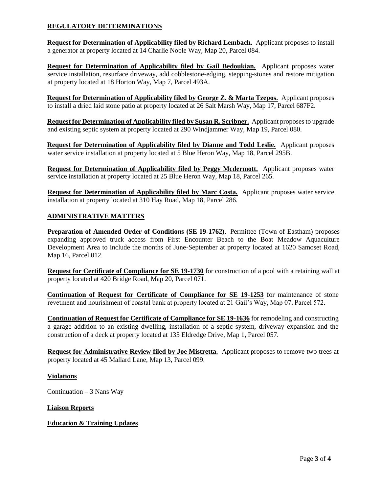### **REGULATORY DETERMINATIONS**

**Request for Determination of Applicability filed by Richard Lembach.** Applicant proposes to install a generator at property located at 14 Charlie Noble Way, Map 20, Parcel 084.

**Request for Determination of Applicability filed by Gail Bedoukian.** Applicant proposes water service installation, resurface driveway, add cobblestone-edging, stepping-stones and restore mitigation at property located at 18 Horton Way, Map 7, Parcel 493A.

**Request for Determination of Applicability filed by George Z. & Marta Tzepos.** Applicant proposes to install a dried laid stone patio at property located at 26 Salt Marsh Way, Map 17, Parcel 687F2.

**Request for Determination of Applicability filed by Susan R. Scribner.** Applicant proposes to upgrade and existing septic system at property located at 290 Windjammer Way, Map 19, Parcel 080.

**Request for Determination of Applicability filed by Dianne and Todd Leslie.** Applicant proposes water service installation at property located at 5 Blue Heron Way, Map 18, Parcel 295B.

**Request for Determination of Applicability filed by Peggy Mcdermott.** Applicant proposes water service installation at property located at 25 Blue Heron Way, Map 18, Parcel 265.

**Request for Determination of Applicability filed by Marc Costa.** Applicant proposes water service installation at property located at 310 Hay Road, Map 18, Parcel 286.

### **ADMINISTRATIVE MATTERS**

**Preparation of Amended Order of Conditions (SE 19-1762)**. Permittee (Town of Eastham) proposes expanding approved truck access from First Encounter Beach to the Boat Meadow Aquaculture Development Area to include the months of June-September at property located at 1620 Samoset Road, Map 16, Parcel 012.

**Request for Certificate of Compliance for SE 19-1730** for construction of a pool with a retaining wall at property located at 420 Bridge Road, Map 20, Parcel 071.

**Continuation of Request for Certificate of Compliance for SE 19-1253** for maintenance of stone revetment and nourishment of coastal bank at property located at 21 Gail's Way, Map 07, Parcel 572.

**Continuation of Request for Certificate of Compliance for SE 19-1636** for remodeling and constructing a garage addition to an existing dwelling, installation of a septic system, driveway expansion and the construction of a deck at property located at 135 Eldredge Drive, Map 1, Parcel 057.

**Request for Administrative Review filed by Joe Mistretta.** Applicant proposes to remove two trees at property located at 45 Mallard Lane, Map 13, Parcel 099.

#### **Violations**

Continuation  $-3$  Nans Way

#### **Liaison Reports**

#### **Education & Training Updates**